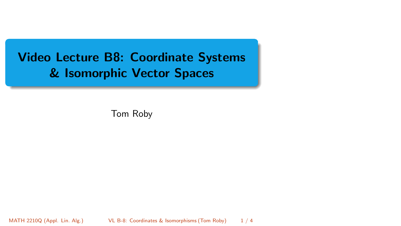# <span id="page-0-0"></span>Video Lecture B8: Coordinate Systems & Isomorphic Vector Spaces

Tom Roby

MATH 2210Q (Appl. Lin. Alg.) [VL B-8: Coordinates & Isomorphisms](#page-3-0) (Tom Roby) 1 / 4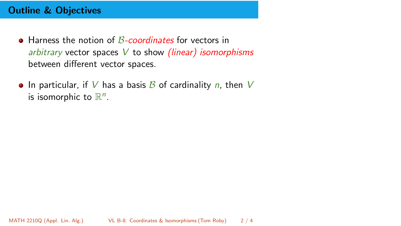## Outline & Objectives

- $\bullet$  Harness the notion of *B-coordinates* for vectors in arbitrary vector spaces  $V$  to show *(linear)* isomorphisms between different vector spaces.
- In particular, if V has a basis B of cardinality n, then V is isomorphic to  $\mathbb{R}^n$ .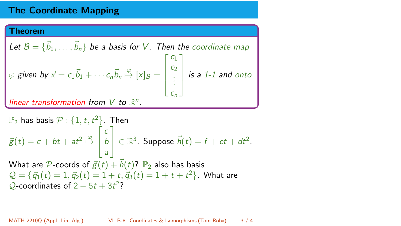# The Coordinate Mapping

#### **Theorem**

Let 
$$
B = {\overrightarrow{b_1}, ..., \overrightarrow{b_n}}
$$
 be a basis for V. Then the coordinate map  
\n $\varphi$  given by  $\vec{x} = c_1 \vec{b_1} + \cdots + c_n \vec{b_n} \stackrel{\varphi}{\mapsto} [x]_B = \begin{bmatrix} c_1 \\ c_2 \\ \vdots \\ c_n \end{bmatrix}$  is a 1-1 and onto  
\nlinear transformation from V to  $\mathbb{R}^n$ .

$$
\mathbb{P}_2 \text{ has basis } \mathcal{P}: \{1, t, t^2\}. \text{ Then}
$$
\n
$$
\vec{g}(t) = c + bt + at^2 \stackrel{\varphi}{\mapsto} \begin{bmatrix} c \\ b \\ a \end{bmatrix} \in \mathbb{R}^3. \text{ Suppose } \vec{h}(t) = f + et + dt^2.
$$
\nWhat are  $\mathcal{P}\text{-coordinates of } \vec{g}(t) + \vec{h}(t)$ ?  $\mathbb{P}_2$  also has basis\n
$$
\mathcal{Q} = \{\vec{q}_1(t) = 1, \vec{q}_2(t) = 1 + t, \vec{q}_3(t) = 1 + t + t^2\}.
$$
 What are  $\mathcal{Q}\text{-coordinates of } 2 - 5t + 3t^2$ ?

MATH 2210Q (Appl. Lin. Alg.) [VL B-8: Coordinates & Isomorphisms](#page-0-0) (Tom Roby) 3 / 4